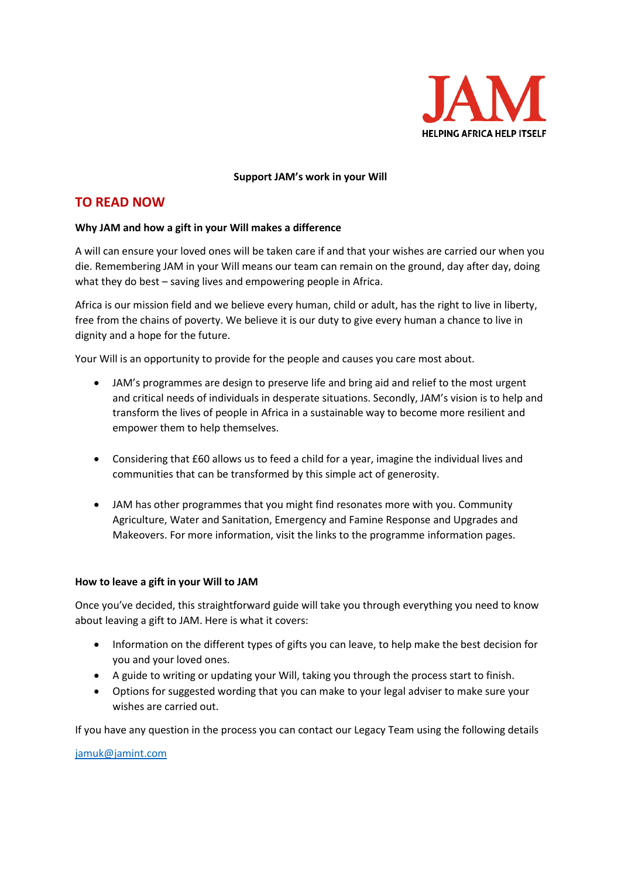

## **Support JAM's work in your Will**

# **TO READ NOW**

## **Why JAM and how a gift in your Will makes a difference**

A will can ensure your loved ones will be taken care if and that your wishes are carried our when you die. Remembering JAM in your Will means our team can remain on the ground, day after day, doing what they do best – saving lives and empowering people in Africa.

Africa is our mission field and we believe every human, child or adult, has the right to live in liberty, free from the chains of poverty. We believe it is our duty to give every human a chance to live in dignity and a hope for the future.

Your Will is an opportunity to provide for the people and causes you care most about.

- JAM's programmes are design to preserve life and bring aid and relief to the most urgent and critical needs of individuals in desperate situations. Secondly, JAM's vision is to help and transform the lives of people in Africa in a sustainable way to become more resilient and empower them to help themselves.
- Considering that £60 allows us to feed a child for a year, imagine the individual lives and communities that can be transformed by this simple act of generosity.
- JAM has other programmes that you might find resonates more with you. Community Agriculture, Water and Sanitation, Emergency and Famine Response and Upgrades and Makeovers. For more information, visit the links to the programme information pages.

### **How to leave a gift in your Will to JAM**

Once you've decided, this straightforward guide will take you through everything you need to know about leaving a gift to JAM. Here is what it covers:

- Information on the different types of gifts you can leave, to help make the best decision for you and your loved ones.
- A guide to writing or updating your Will, taking you through the process start to finish.
- Options for suggested wording that you can make to your legal adviser to make sure your wishes are carried out.

If you have any question in the process you can contact our Legacy Team using the following details

### [jamuk@jamint.com](mailto:jamuk@jamint.com)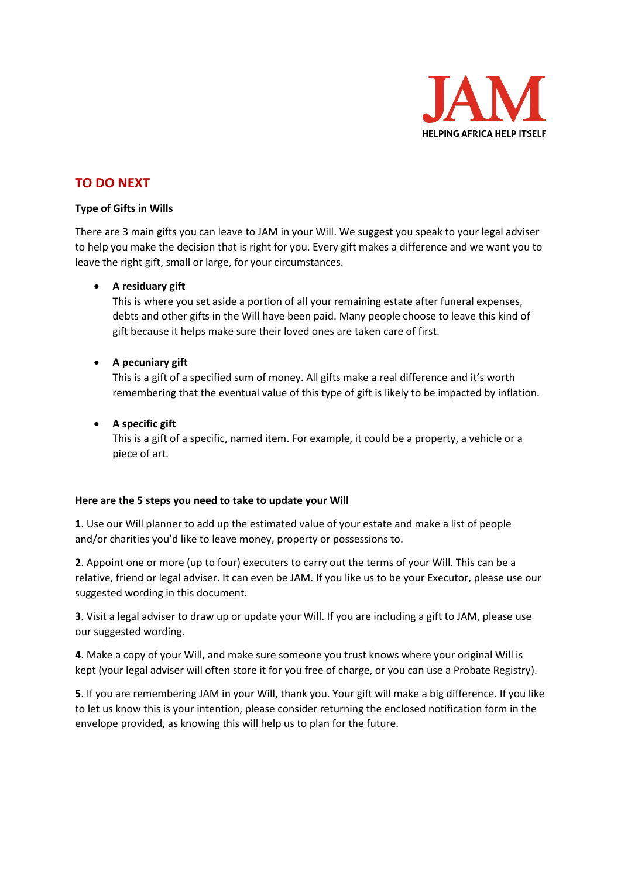

# **TO DO NEXT**

## **Type of Gifts in Wills**

There are 3 main gifts you can leave to JAM in your Will. We suggest you speak to your legal adviser to help you make the decision that is right for you. Every gift makes a difference and we want you to leave the right gift, small or large, for your circumstances.

# • **A residuary gift**

This is where you set aside a portion of all your remaining estate after funeral expenses, debts and other gifts in the Will have been paid. Many people choose to leave this kind of gift because it helps make sure their loved ones are taken care of first.

# • **A pecuniary gift**

This is a gift of a specified sum of money. All gifts make a real difference and it's worth remembering that the eventual value of this type of gift is likely to be impacted by inflation.

# • **A specific gift**

This is a gift of a specific, named item. For example, it could be a property, a vehicle or a piece of art.

### **Here are the 5 steps you need to take to update your Will**

**1**. Use our Will planner to add up the estimated value of your estate and make a list of people and/or charities you'd like to leave money, property or possessions to.

**2**. Appoint one or more (up to four) executers to carry out the terms of your Will. This can be a relative, friend or legal adviser. It can even be JAM. If you like us to be your Executor, please use our suggested wording in this document.

**3**. Visit a legal adviser to draw up or update your Will. If you are including a gift to JAM, please use our suggested wording.

**4**. Make a copy of your Will, and make sure someone you trust knows where your original Will is kept (your legal adviser will often store it for you free of charge, or you can use a Probate Registry).

**5**. If you are remembering JAM in your Will, thank you. Your gift will make a big difference. If you like to let us know this is your intention, please consider returning the enclosed notification form in the envelope provided, as knowing this will help us to plan for the future.